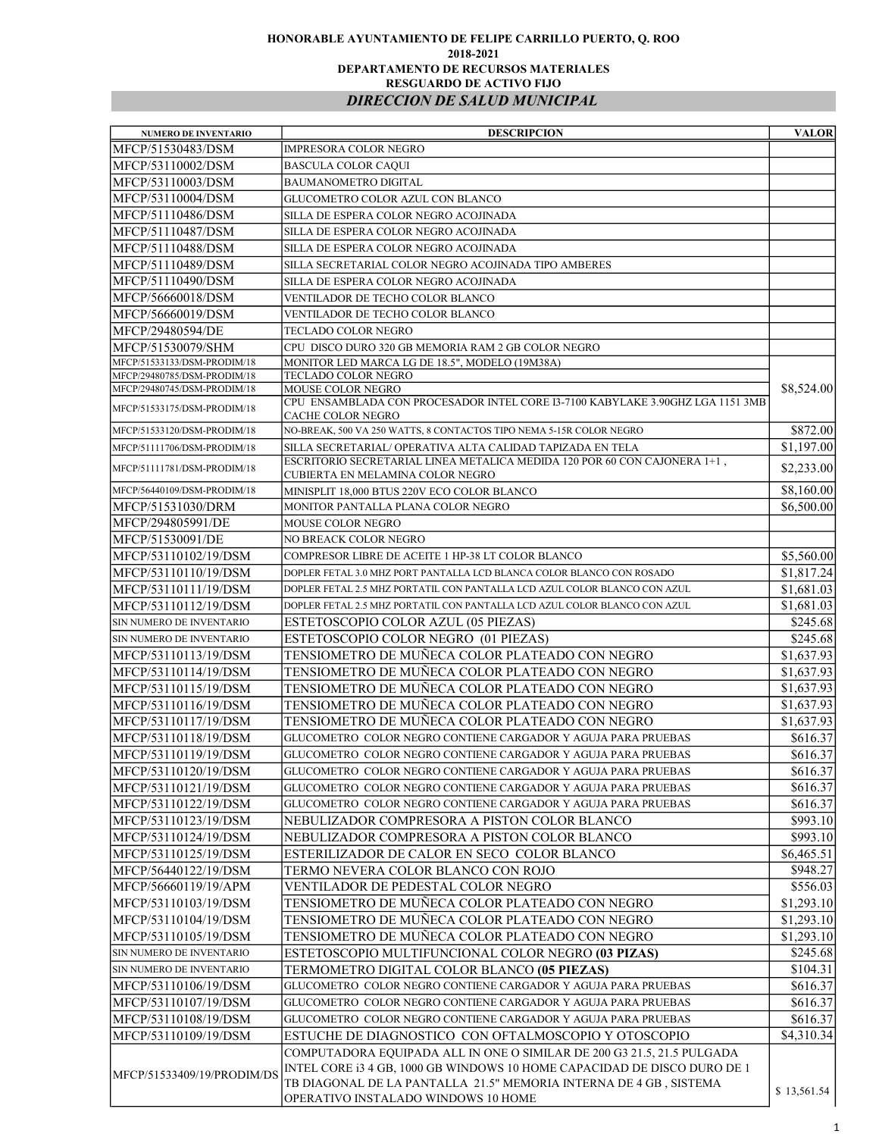## HONORABLE AYUNTAMIENTO DE FELIPE CARRILLO PUERTO, Q. ROO 2018-2021 DEPARTAMENTO DE RECURSOS MATERIALES RESGUARDO DE ACTIVO FIJO DIRECCION DE SALUD MUNICIPAL

| <b>NUMERO DE INVENTARIO</b> | <b>DESCRIPCION</b>                                                                                       | <b>VALOR</b> |
|-----------------------------|----------------------------------------------------------------------------------------------------------|--------------|
| MFCP/51530483/DSM           | <b>IMPRESORA COLOR NEGRO</b>                                                                             |              |
| MFCP/53110002/DSM           | <b>BASCULA COLOR CAQUI</b>                                                                               |              |
| MFCP/53110003/DSM           | BAUMANOMETRO DIGITAL                                                                                     |              |
| MFCP/53110004/DSM           | GLUCOMETRO COLOR AZUL CON BLANCO                                                                         |              |
| MFCP/51110486/DSM           | SILLA DE ESPERA COLOR NEGRO ACOJINADA                                                                    |              |
| MFCP/51110487/DSM           | SILLA DE ESPERA COLOR NEGRO ACOJINADA                                                                    |              |
| MFCP/51110488/DSM           | SILLA DE ESPERA COLOR NEGRO ACOJINADA                                                                    |              |
| MFCP/51110489/DSM           | SILLA SECRETARIAL COLOR NEGRO ACOJINADA TIPO AMBERES                                                     |              |
| MFCP/51110490/DSM           | SILLA DE ESPERA COLOR NEGRO ACOJINADA                                                                    |              |
| MFCP/56660018/DSM           | VENTILADOR DE TECHO COLOR BLANCO                                                                         |              |
| MFCP/56660019/DSM           | VENTILADOR DE TECHO COLOR BLANCO                                                                         |              |
| MFCP/29480594/DE            | TECLADO COLOR NEGRO                                                                                      |              |
| MFCP/51530079/SHM           | CPU DISCO DURO 320 GB MEMORIA RAM 2 GB COLOR NEGRO                                                       |              |
| MFCP/51533133/DSM-PRODIM/18 | MONITOR LED MARCA LG DE 18.5", MODELO (19M38A)                                                           |              |
| MFCP/29480785/DSM-PRODIM/18 | TECLADO COLOR NEGRO                                                                                      |              |
| MFCP/29480745/DSM-PRODIM/18 | MOUSE COLOR NEGRO<br>CPU ENSAMBLADA CON PROCESADOR INTEL CORE I3-7100 KABYLAKE 3.90GHZ LGA 1151 3MB      | \$8,524.00   |
| MFCP/51533175/DSM-PRODIM/18 | CACHE COLOR NEGRO                                                                                        |              |
| MFCP/51533120/DSM-PRODIM/18 | NO-BREAK, 500 VA 250 WATTS, 8 CONTACTOS TIPO NEMA 5-15R COLOR NEGRO                                      | \$872.00     |
| MFCP/51111706/DSM-PRODIM/18 | SILLA SECRETARIAL/ OPERATIVA ALTA CALIDAD TAPIZADA EN TELA                                               | \$1,197.00   |
| MFCP/51111781/DSM-PRODIM/18 | ESCRITORIO SECRETARIAL LINEA METALICA MEDIDA 120 POR 60 CON CAJONERA 1+1,                                | \$2,233.00   |
|                             | CUBIERTA EN MELAMINA COLOR NEGRO                                                                         |              |
| MFCP/56440109/DSM-PRODIM/18 | MINISPLIT 18,000 BTUS 220V ECO COLOR BLANCO                                                              | \$8,160.00   |
| MFCP/51531030/DRM           | MONITOR PANTALLA PLANA COLOR NEGRO                                                                       | \$6,500.00   |
| MFCP/294805991/DE           | <b>MOUSE COLOR NEGRO</b>                                                                                 |              |
| MFCP/51530091/DE            | NO BREACK COLOR NEGRO                                                                                    |              |
| MFCP/53110102/19/DSM        | COMPRESOR LIBRE DE ACEITE 1 HP-38 LT COLOR BLANCO                                                        | \$5,560.00   |
| MFCP/53110110/19/DSM        | DOPLER FETAL 3.0 MHZ PORT PANTALLA LCD BLANCA COLOR BLANCO CON ROSADO                                    | \$1,817.24   |
| MFCP/53110111/19/DSM        | DOPLER FETAL 2.5 MHZ PORTATIL CON PANTALLA LCD AZUL COLOR BLANCO CON AZUL                                | \$1,681.03   |
| MFCP/53110112/19/DSM        | DOPLER FETAL 2.5 MHZ PORTATIL CON PANTALLA LCD AZUL COLOR BLANCO CON AZUL                                | \$1,681.03   |
| SIN NUMERO DE INVENTARIO    | ESTETOSCOPIO COLOR AZUL (05 PIEZAS)                                                                      | \$245.68     |
| SIN NUMERO DE INVENTARIO    | ESTETOSCOPIO COLOR NEGRO (01 PIEZAS)                                                                     | \$245.68     |
| MFCP/53110113/19/DSM        | TENSIOMETRO DE MUÑECA COLOR PLATEADO CON NEGRO                                                           | \$1,637.93   |
| MFCP/53110114/19/DSM        | TENSIOMETRO DE MUÑECA COLOR PLATEADO CON NEGRO                                                           | \$1,637.93   |
| MFCP/53110115/19/DSM        | TENSIOMETRO DE MUÑECA COLOR PLATEADO CON NEGRO                                                           | \$1,637.93   |
| MFCP/53110116/19/DSM        | TENSIOMETRO DE MUÑECA COLOR PLATEADO CON NEGRO                                                           | \$1,637.93   |
| MFCP/53110117/19/DSM        | TENSIOMETRO DE MUÑECA COLOR PLATEADO CON NEGRO                                                           | \$1,637.93   |
| MFCP/53110118/19/DSM        | GLUCOMETRO COLOR NEGRO CONTIENE CARGADOR Y AGUJA PARA PRUEBAS                                            | \$616.37     |
| MFCP/53110119/19/DSM        | GLUCOMETRO COLOR NEGRO CONTIENE CARGADOR Y AGUJA PARA PRUEBAS                                            | \$616.37     |
| MFCP/53110120/19/DSM        | GLUCOMETRO COLOR NEGRO CONTIENE CARGADOR Y AGUJA PARA PRUEBAS                                            | \$616.37     |
| MFCP/53110121/19/DSM        | GLUCOMETRO COLOR NEGRO CONTIENE CARGADOR Y AGUJA PARA PRUEBAS                                            | \$616.37     |
| MFCP/53110122/19/DSM        | GLUCOMETRO COLOR NEGRO CONTIENE CARGADOR Y AGUJA PARA PRUEBAS                                            | \$616.37     |
| MFCP/53110123/19/DSM        | NEBULIZADOR COMPRESORA A PISTON COLOR BLANCO                                                             | \$993.10     |
| MFCP/53110124/19/DSM        | NEBULIZADOR COMPRESORA A PISTON COLOR BLANCO                                                             | \$993.10     |
| MFCP/53110125/19/DSM        | ESTERILIZADOR DE CALOR EN SECO COLOR BLANCO                                                              | \$6,465.51   |
| MFCP/56440122/19/DSM        | TERMO NEVERA COLOR BLANCO CON ROJO                                                                       | \$948.27     |
| MFCP/56660119/19/APM        | VENTILADOR DE PEDESTAL COLOR NEGRO                                                                       | \$556.03     |
| MFCP/53110103/19/DSM        | TENSIOMETRO DE MUÑECA COLOR PLATEADO CON NEGRO                                                           | \$1,293.10   |
| MFCP/53110104/19/DSM        | TENSIOMETRO DE MUÑECA COLOR PLATEADO CON NEGRO                                                           | \$1,293.10   |
| MFCP/53110105/19/DSM        | TENSIOMETRO DE MUÑECA COLOR PLATEADO CON NEGRO                                                           | \$1,293.10   |
| SIN NUMERO DE INVENTARIO    | ESTETOSCOPIO MULTIFUNCIONAL COLOR NEGRO (03 PIZAS)                                                       | \$245.68     |
| SIN NUMERO DE INVENTARIO    | TERMOMETRO DIGITAL COLOR BLANCO (05 PIEZAS)                                                              | \$104.31     |
| MFCP/53110106/19/DSM        | GLUCOMETRO COLOR NEGRO CONTIENE CARGADOR Y AGUJA PARA PRUEBAS                                            | \$616.37     |
| MFCP/53110107/19/DSM        | GLUCOMETRO COLOR NEGRO CONTIENE CARGADOR Y AGUJA PARA PRUEBAS                                            | \$616.37     |
| MFCP/53110108/19/DSM        | GLUCOMETRO COLOR NEGRO CONTIENE CARGADOR Y AGUJA PARA PRUEBAS                                            | \$616.37     |
| MFCP/53110109/19/DSM        | ESTUCHE DE DIAGNOSTICO CON OFTALMOSCOPIO Y OTOSCOPIO                                                     | \$4,310.34]  |
|                             | COMPUTADORA EQUIPADA ALL IN ONE O SIMILAR DE 200 G3 21.5, 21.5 PULGADA                                   |              |
| MFCP/51533409/19/PRODIM/DS  | INTEL CORE i3 4 GB, 1000 GB WINDOWS 10 HOME CAPACIDAD DE DISCO DURO DE 1                                 |              |
|                             | TB DIAGONAL DE LA PANTALLA 21.5" MEMORIA INTERNA DE 4 GB, SISTEMA<br>OPERATIVO INSTALADO WINDOWS 10 HOME | \$13,561.54  |
|                             |                                                                                                          |              |